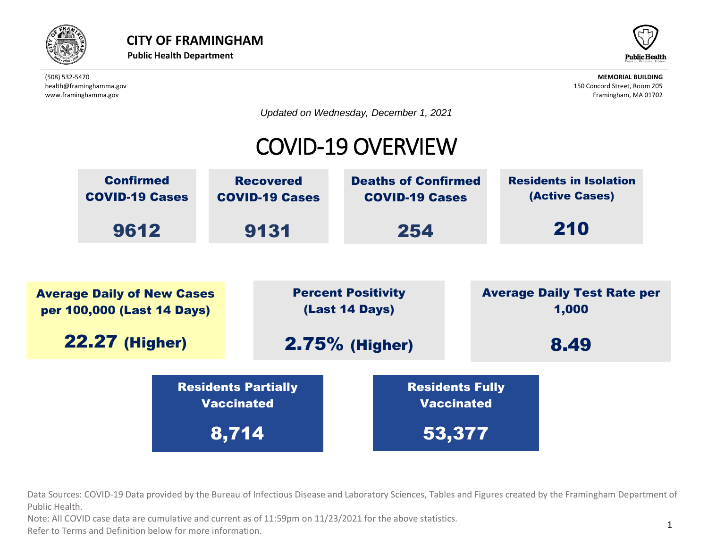



*Updated on Wednesday, December 1, 2021*

## COVID-19 OVERVIEW



beta provided by the Bureau of Infectious Disease and Laboratory Sciences, Tables and Fig. Data Sources: COVID-19 Data provided by the Bureau of Infectious Disease and Laboratory Sciences, Tables and Figures created by the Framingham Department of  $\overline{\phantom{a}}$ Public Health. Vaccinated Residents Partially IC Dureau Or innec

ote: All COVID case data are cumulative and current as of 11:59pm on 11/23/2021 for the above statistics. Note: All COVID case data are cumulative and current as of 11:59pm on 11/23/2021 for the above statistics.

normation. Refer to Terms and Definition below for more information.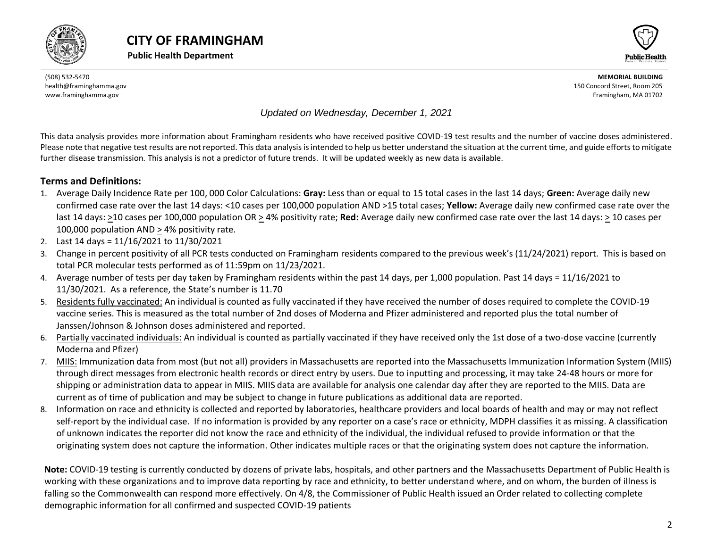





*Updated on Wednesday, December 1, 2021*

This data analysis provides more information about Framingham residents who have received positive COVID-19 test results and the number of vaccine doses administered. Please note that negative test results are not reported. This data analysis is intended to help us better understand the situation at the current time, and guide efforts to mitigate further disease transmission. This analysis is not a predictor of future trends. It will be updated weekly as new data is available.

#### **Terms and Definitions:**

- 1. Average Daily Incidence Rate per 100, 000 Color Calculations: **Gray:** Less than or equal to 15 total cases in the last 14 days; **Green:** Average daily new confirmed case rate over the last 14 days: <10 cases per 100,000 population AND >15 total cases; **Yellow:** Average daily new confirmed case rate over the last 14 days: >10 cases per 100,000 population OR > 4% positivity rate; **Red:** Average daily new confirmed case rate over the last 14 days: > 10 cases per 100,000 population AND > 4% positivity rate.
- 2. Last 14 days = 11/16/2021 to 11/30/2021
- 3. Change in percent positivity of all PCR tests conducted on Framingham residents compared to the previous week's (11/24/2021) report. This is based on total PCR molecular tests performed as of 11:59pm on 11/23/2021.
- 4. Average number of tests per day taken by Framingham residents within the past 14 days, per 1,000 population. Past 14 days = 11/16/2021 to 11/30/2021. As a reference, the State's number is 11.70
- 5. Residents fully vaccinated: An individual is counted as fully vaccinated if they have received the number of doses required to complete the COVID-19 vaccine series. This is measured as the total number of 2nd doses of Moderna and Pfizer administered and reported plus the total number of Janssen/Johnson & Johnson doses administered and reported.
- 6. Partially vaccinated individuals: An individual is counted as partially vaccinated if they have received only the 1st dose of a two-dose vaccine (currently Moderna and Pfizer)
- 7. MIIS: Immunization data from most (but not all) providers in Massachusetts are reported into the Massachusetts Immunization Information System (MIIS) through direct messages from electronic health records or direct entry by users. Due to inputting and processing, it may take 24-48 hours or more for shipping or administration data to appear in MIIS. MIIS data are available for analysis one calendar day after they are reported to the MIIS. Data are current as of time of publication and may be subject to change in future publications as additional data are reported.
- 8. Information on race and ethnicity is collected and reported by laboratories, healthcare providers and local boards of health and may or may not reflect self-report by the individual case. If no information is provided by any reporter on a case's race or ethnicity, MDPH classifies it as missing. A classification of unknown indicates the reporter did not know the race and ethnicity of the individual, the individual refused to provide information or that the originating system does not capture the information. Other indicates multiple races or that the originating system does not capture the information.

<span id="page-1-0"></span>**Note:** COVID-19 testing is currently conducted by dozens of private labs, hospitals, and other partners and the Massachusetts Department of Public Health is working with these organizations and to improve data reporting by race and ethnicity, to better understand where, and on whom, the burden of illness is falling so the Commonwealth can respond more effectively. On 4/8, the Commissioner of Public Health issued an Order related to collecting complete demographic information for all confirmed and suspected COVID-19 patients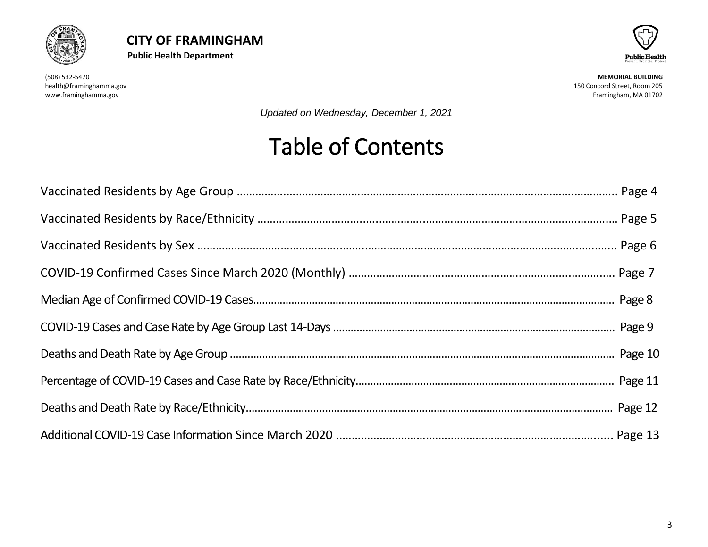



*Updated on Wednesday, December 1, 2021*

## Table of Contents

<span id="page-2-0"></span>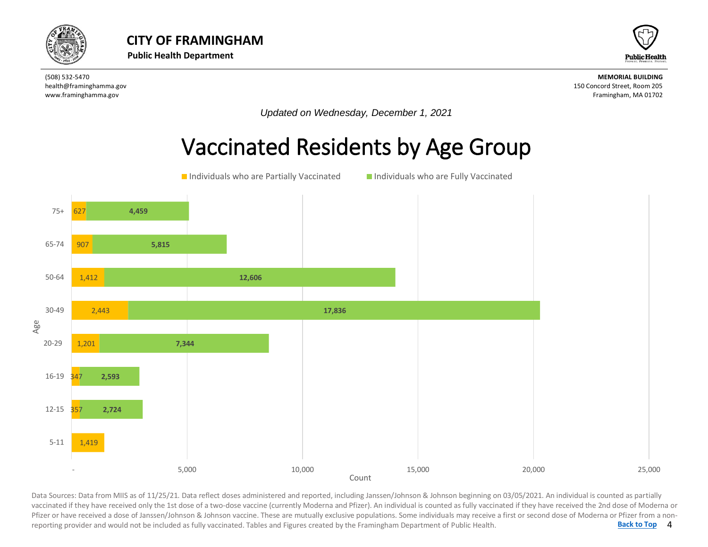



*Updated on Wednesday, December 1, 2021*

#### Vaccinated Residents by Age Group



4 **[Back to Top](#page-1-0)** Data Sources: Data from MIIS as of 11/25/21. Data reflect doses administered and reported, including Janssen/Johnson & Johnson beginning on 03/05/2021. An individual is counted as partially<br>vaccinated if they have received Data Sources: Data from MIIS as of 11/25/21. Data reflect doses administered and reported, including Janssen/Johnson & Johnson beginning on 03/05/2021. An individual is counted as partially Pfizer or have received a dose of Janssen/Johnson & Johnson vaccine. These are mutually exclusive populations. Some individuals may receive a first or second dose of Moderna or Pfizer from a nonreporting provider and would not be included as fully vaccinated. Tables and Figures created by the Framingham Department of Public Health.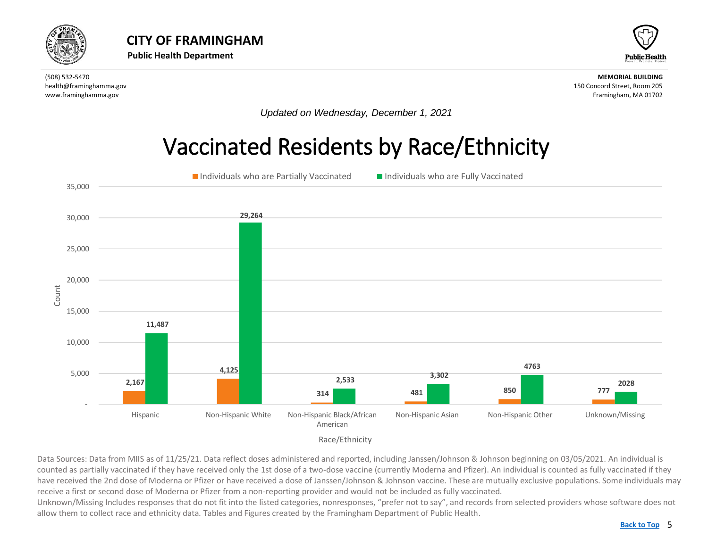<span id="page-4-0"></span>



*Updated on Wednesday, December 1, 2021*

### Vaccinated Residents by Race/Ethnicity



Data Sources: Data from MIIS as of 11/25/21. Data reflect doses administered and reported, including Janssen/Johnson & Johnson beginning on 03/05/2021. An individual is counted as partially vaccinated if they have received only the 1st dose of a two-dose vaccine (currently Moderna and Pfizer). An individual is counted as fully vaccinated if they have received the 2nd dose of Moderna or Pfizer or have received a dose of Janssen/Johnson & Johnson vaccine. These are mutually exclusive populations. Some individuals may receive a first or second dose of Moderna or Pfizer from a non-reporting provider and would not be included as fully vaccinated.

Unknown/Missing Includes responses that do not fit into the listed categories, nonresponses, "prefer not to say", and records from selected providers whose software does not allow them to collect race and ethnicity data. Tables and Figures created by the Framingham Department of Public Health.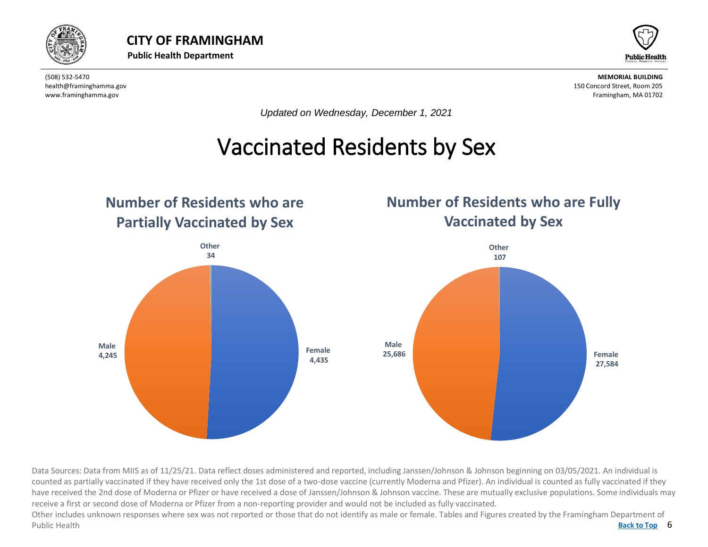



*Updated on Wednesday, December 1, 2021*

### Vaccinated Residents by Sex

<span id="page-5-0"></span>

Data Sources: Data from MIIS as of 11/25/21. Data reflect doses administered and reported, including Janssen/Johnson & Johnson beginning on 03/05/2021. An individual is counted as partially vaccinated if they have received only the 1st dose of a two-dose vaccine (currently Moderna and Pfizer). An individual is counted as fully vaccinated if they have received the 2nd dose of Moderna or Pfizer or have received a dose of Janssen/Johnson & Johnson vaccine. These are mutually exclusive populations. Some individuals may receive a first or second dose of Moderna or Pfizer from a non-reporting provider and would not be included as fully vaccinated.

Back to Top 6 Other includes unknown responses where sex was not reported or those that do not identify as male or female. Tables and Figures created by the Framingham Department of Public Health **[Back to Top](#page-1-0)**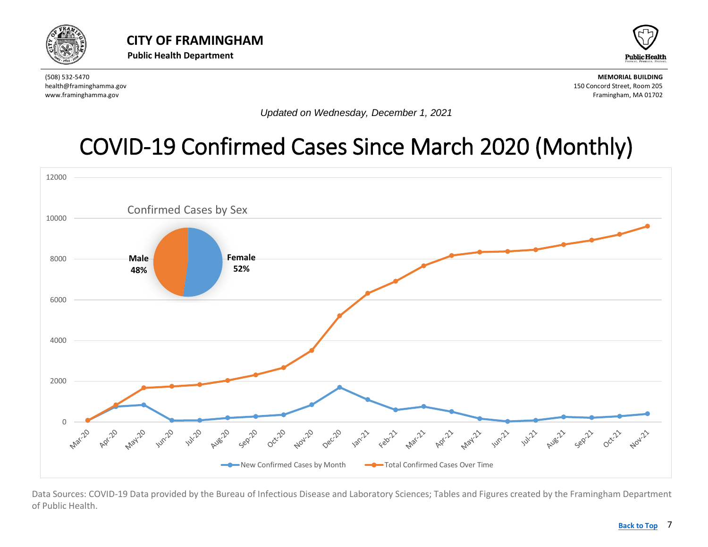<span id="page-6-0"></span>



*Updated on Wednesday, December 1, 2021*

## [COVID-19 Confirmed Cases Since March 2020](#page-6-0) (Monthly)



Data Sources: COVID-19 Data provided by the Bureau of Infectious Disease and Laboratory Sciences; Tables and Figures created by the Framingham Department of Public Health.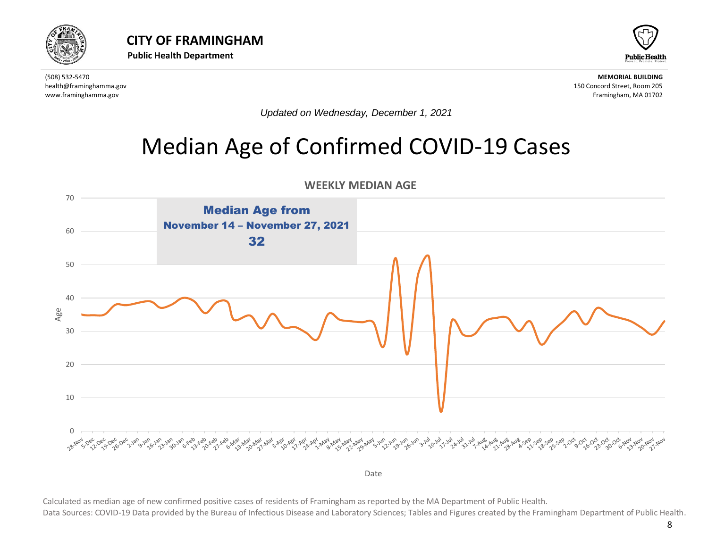

<span id="page-7-0"></span>



*Updated on Wednesday, December 1, 2021*

#### Median Age of Confirmed COVID-19 Cases



**WEEKLY MEDIAN AGE** 

Date

Calculated as median age of new confirmed positive cases of residents of Framingham as reported by the MA Department of Public Health.

Data Sources: COVID-19 Data provided by the Bureau of Infectious Disease and Laboratory Sciences; Tables and Figures created by the Framingham Department of Public Health.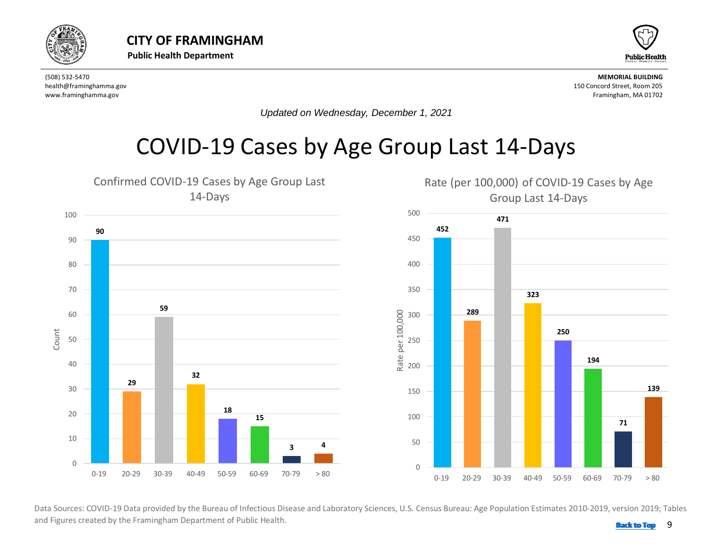<span id="page-8-0"></span>



*Updated on Wednesday, December 1, 2021*

#### COVID-19 Cases by Age Group Last 14-Days



 and Figures created by the Framingham Department of Public Health. **Back 10 and 1999 [Back to Top](#page-1-0)**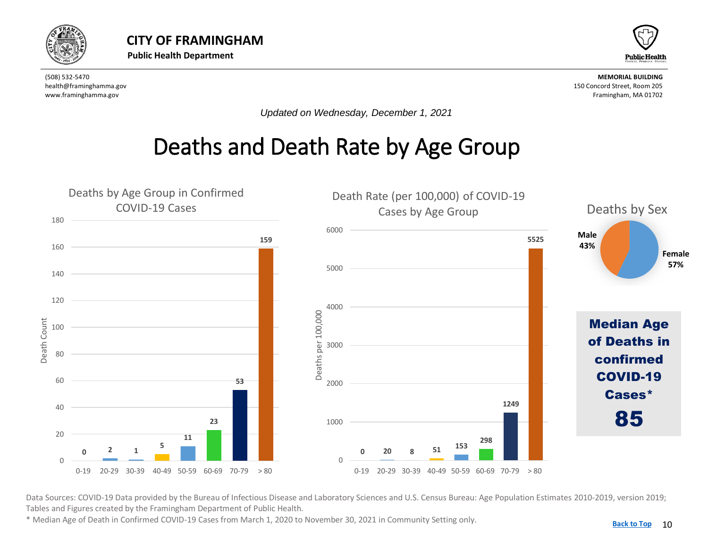<span id="page-9-0"></span>



*Updated on Wednesday, December 1, 2021*

### Deaths and Death Rate by Age Group



Data Sources: COVID-19 Data provided by the Bureau of Infectious Disease and Laboratory Sciences and U.S. Census Bureau: Age Population Estimates 2010-2019, version 2019; Tables and Figures created by the Framingham Department of Public Health.

\* Median Age of Death in Confirmed COVID-19 Cases from March 1, 2020 to November 30, 2021 in Community Setting only.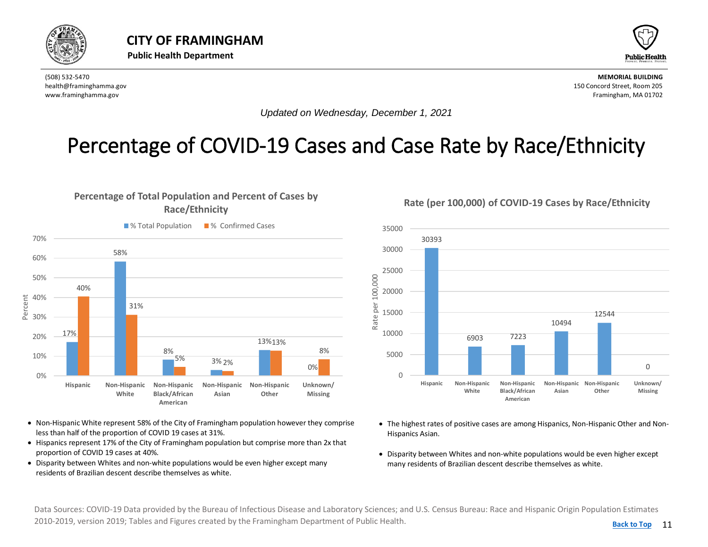<span id="page-10-0"></span>



*Updated on Wednesday, December 1, 2021*

#### Percentage of COVID-19 Cases and Case Rate by Race/Ethnicity



- Non-Hispanic White represent 58% of the City of Framingham population however they comprise less than half of the proportion of COVID 19 cases at 31%.
- Hispanics represent 17% of the City of Framingham population but comprise more than 2x that proportion of COVID 19 cases at 40%.
- Disparity between Whites and non-white populations would be even higher except many residents of Brazilian descent describe themselves as white.

**Rate (per 100,000) of COVID-19 Cases by Race/Ethnicity**



- The highest rates of positive cases are among Hispanics, Non-Hispanic Other and Non-Hispanics Asian.
- Disparity between Whites and non-white populations would be even higher except many residents of Brazilian descent describe themselves as white.

Data Sources: COVID-19 Data provided by the Bureau of Infectious Disease and Laboratory Sciences; and U.S. Census Bureau: Race and Hispanic Origin Population Estimates 2010-2019, version 2019; Tables and Figures created by the Framingham Department of Public Health.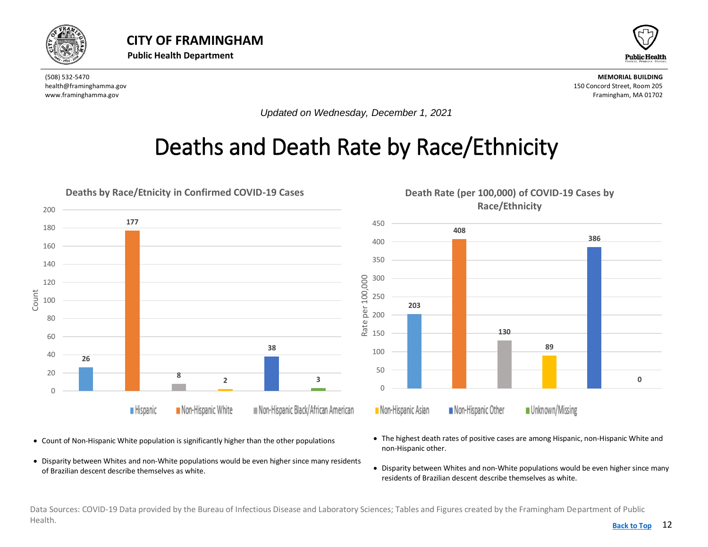<span id="page-11-0"></span>



*Updated on Wednesday, December 1, 2021*

## Deaths and Death Rate by Race/Ethnicity



- Count of Non-Hispanic White population is significantly higher than the other populations
- Disparity between Whites and non-White populations would be even higher since many residents of Brazilian descent describe themselves as white.
- The highest death rates of positive cases are among Hispanic, non-Hispanic White and non-Hispanic other.
- Disparity between Whites and non-White populations would be even higher since many residents of Brazilian descent describe themselves as white.

Data Sources: COVID-19 Data provided by the Bureau of Infectious Disease and Laboratory Sciences; Tables and Figures created by the Framingham Department of Public Health. **[Back to Top](#page-1-0)**